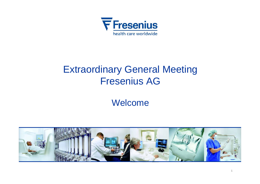

# Extraordinary General Meeting Fresenius AG

Welcome

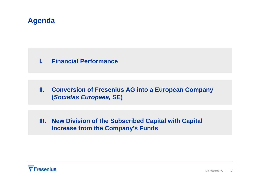### **Agenda**

#### **I. Financial Performance**

#### **II. Conversion of Fresenius AG into a European Company (***Societas Europaea,* **SE)**

#### **III. New Division of the Subscribed Capital with Capital Increase from the Company's Funds**

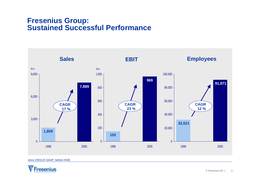#### **Fresenius Group: Sustained Successful Performance**



since 2001US GAAP, before HGB

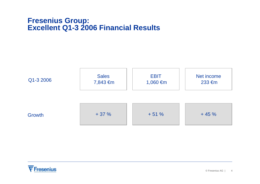#### **Fresenius Group: Excellent Q1-3 2006 Financial Results**



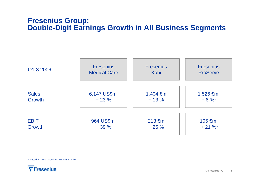#### **Fresenius Group: Double-Digit Earnings Growth in All Business Segments**



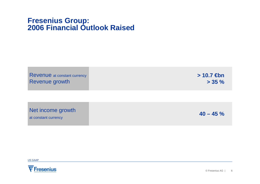### **Fresenius Group: 2006 Financial Outlook Raised**

|                | <b>Revenue</b> at constant currency |
|----------------|-------------------------------------|
| Revenue growth |                                     |

**> 10.7 €bn > 35 %**

Net income growth

at constant currency

**40 – 45 %**

US GAAP

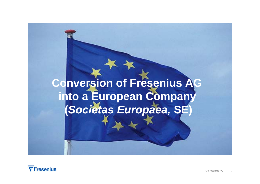# **Conversion of Fresenius AG into <sup>a</sup> European Company (***Societas Europaea,* **SE)**

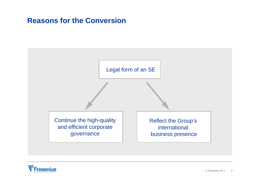### **Reasons for the Conversion**

#### Legal form of an SE

Continue the high-quality and efficient corporate governance

Reflect the Group's international business presence

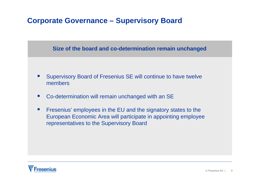### **Corporate Governance – Supervisory Board**

#### **Size of the board and co-determination remain unchanged**

- $\overline{\phantom{a}}$  Supervisory Board of Fresenius SE will continue to have twelve members
- $\mathcal{L}_{\mathcal{A}}$ Co-determination will remain unchanged with an SE
- $\mathcal{L}_{\mathcal{A}}$  Fresenius' employees in the EU and the signatory states to the European Economic Area will participate in appointing employee representatives to the Supervisory Board

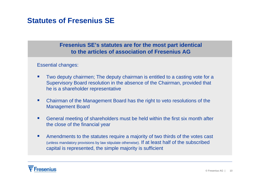### **Statutes of Fresenius SE**

#### **Fresenius SE's statutes are for the most part identical to the articles of association of Fresenius AG**

Essential changes:

- $\mathcal{L}_{\mathcal{A}}$  Two deputy chairmen; The deputy chairman is entitled to a casting vote for a Supervisory Board resolution in the absence of the Chairman, provided that he is a shareholder representative
- $\mathcal{L}_{\mathcal{A}}$  Chairman of the Management Board has the right to veto resolutions of the Management Board
- $\blacksquare$  General meeting of shareholders must be held within the first six month after the close of the financial year
- $\blacksquare$  Amendments to the statutes require a majority of two thirds of the votes cast (unless mandatory provisions by law stipulate otherwise). If at least half of the subscribed capital is represented, the simple majority is sufficient

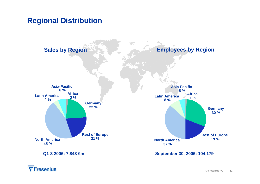### **Regional Distribution**



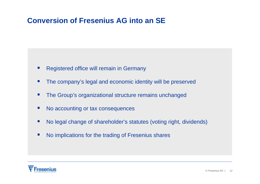### **Conversion of Fresenius AG into an SE**

- $\overline{\phantom{a}}$ Registered office will remain in Germany
- $\mathcal{L}_{\mathcal{A}}$ The company's legal and economic identity will be preserved
- $\mathcal{L}_{\mathcal{A}}$ The Group's organizational structure remains unchanged
- $\mathcal{L}^{\mathcal{L}}$ No accounting or tax consequences
- $\mathcal{L}_{\mathcal{A}}$ No legal change of shareholder's statutes (voting right, dividends)
- $\blacksquare$ No implications for the trading of Fresenius shares

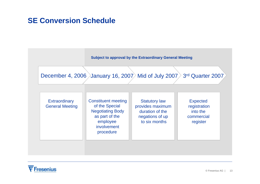### **SE Conversion Schedule**



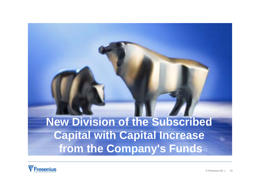**New Division of the Subscribed Capital with Capital Increase from the Company's Funds**

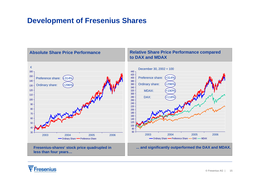### **Development of Fresenius Shares**



#### Fresenius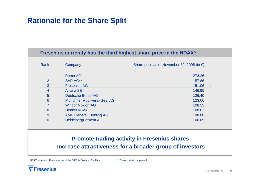### **Rationale for the Share Split**

#### **Fresenius currently has the third highest share price in the HDAX\* :**

| Rank            | Company                        | Share price as of November 30, 2006 (in $\epsilon$ ) |
|-----------------|--------------------------------|------------------------------------------------------|
| 4               | <b>Puma AG</b>                 | 273.26                                               |
| 2               | SAP AG**                       | 157.86                                               |
| 3               | <b>Fresenius AG</b>            | 151.06                                               |
| 4               | <b>Allianz SE</b>              | 146.95                                               |
| 5               | Deutsche Börse AG              | 126.40                                               |
| $6\phantom{1}6$ | Münchner Rückvers.-Ges. AG     | 123.00                                               |
| 7               | <b>Wincor Nixdorf AG</b>       | 108.33                                               |
| 8               | <b>Henkel KGaA</b>             | 108.02                                               |
| 9               | <b>AMB Generali Holding AG</b> | 108.00                                               |
| 10              | <b>HeidelbergCement AG</b>     | 106.05                                               |

#### **Promote trading activity in Fresenius shares Increase attractiveness for a broader group of investors**

\* HDAX includes 110 companies of the DAX, MDAX and TecDAX \*\* Share split 4:1 approved

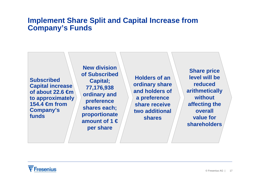### **Implement Share Split and Capital Increase from Company's Funds**

**Subscribed Capital increase of about 22.6 €m to approximately 154.4 €m from Company's funds** 

**New division of Subscribed Capital; 77,176,938 ordinary and preference shares each; proportionate amount of 1 €per share**

**Holders of an ordinary share and holders of a preference share receive two additional shares**

**Share price level will be reduced arithmetically without affecting the overall value for shareholders**

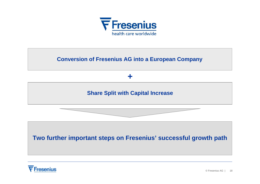

#### **Conversion of Fresenius AG into a European Company**



#### **Share Split with Capital Increase**



#### **Two further important steps on Fresenius' successful growth path**

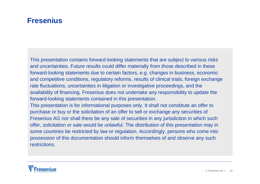### **Fresenius**

This presentation contains forward-looking statements that are subject to various risks and uncertainties. Future results could differ materially from those described in these forward-looking statements due to certain factors, e.g. changes in business, economic and competitive conditions, regulatory reforms, results of clinical trials, foreign exchange rate fluctuations, uncertainties in litigation or investigative proceedings, and the availability of financing. Fresenius does not undertake any responsibility to update the forward-looking statements contained in this presentation. This presentation is for informational purposes only. It shall not constitute an offer to purchase or buy or the solicitation of an offer to sell or exchange any securities of Fresenius AG nor shall there be any sale of securities in any jurisdiction in which such

offer, solicitation or sale would be unlawful. The distribution of this presentation may in some countries be restricted by law or regulation. Accordingly, persons who come into possession of this documentation should inform themselves of and observe any such restrictions.